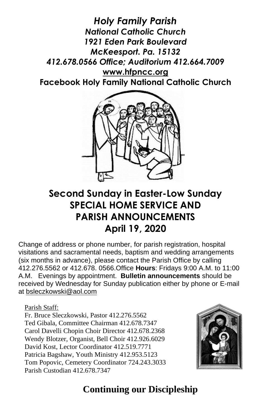*Holy Family Parish National Catholic Church 1921 Eden Park Boulevard McKeesport. Pa. 15132 412.678.0566 Office; Auditorium 412.664.7009* **[www.hfpncc.org](http://www.hfpncc.org/) Facebook Holy Family National Catholic Church**



# **Second Sunday in Easter-Low Sunday SPECIAL HOME SERVICE AND PARISH ANNOUNCEMENTS April 19, 2020**

Change of address or phone number, for parish registration, hospital visitations and sacramental needs, baptism and wedding arrangements (six months in advance), please contact the Parish Office by calling 412.276.5562 or 412.678. 0566.Office **Hours**: Fridays 9:00 A.M. to 11:00 A.M. Evenings by appointment. **Bulletin announcements** should be received by Wednesday for Sunday publication either by phone or E-mail at [bsleczkowski@aol.com](mailto:bsleczkowski@aol.com)

Parish Staff:

Fr. Bruce Sleczkowski, Pastor 412.276.5562 Ted Gibala, Committee Chairman 412.678.7347 Carol Davelli Chopin Choir Director 412.678.2368 Wendy Blotzer, Organist, Bell Choir 412.926.6029 David Kost, Lector Coordinator 412.519.7771 Patricia Bagshaw, Youth Ministry 412.953.5123 Tom Popovic, Cemetery Coordinator 724.243.3033 Parish Custodian 412.678.7347



# **Continuing our Discipleship**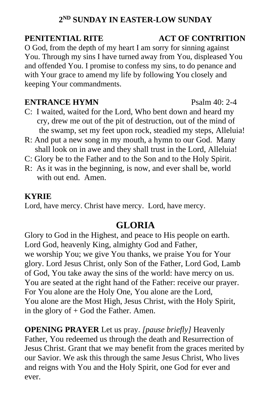# **2 ND SUNDAY IN EASTER-LOW SUNDAY**

O God, from the depth of my heart I am sorry for sinning against You. Through my sins I have turned away from You, displeased You and offended You. I promise to confess my sins, to do penance and with Your grace to amend my life by following You closely and keeping Your commandments.

### **ENTRANCE HYMN** Psalm 40: 2-4

- C: I waited, waited for the Lord, Who bent down and heard my cry, drew me out of the pit of destruction, out of the mind of the swamp, set my feet upon rock, steadied my steps, Alleluia!
- R: And put a new song in my mouth, a hymn to our God. Many shall look on in awe and they shall trust in the Lord, Alleluia!
- C: Glory be to the Father and to the Son and to the Holy Spirit.
- R: As it was in the beginning, is now, and ever shall be, world with out end. Amen.

### **KYRIE**

Lord, have mercy. Christ have mercy. Lord, have mercy.

# **GLORIA**

Glory to God in the Highest, and peace to His people on earth. Lord God, heavenly King, almighty God and Father, we worship You; we give You thanks, we praise You for Your glory. Lord Jesus Christ, only Son of the Father, Lord God, Lamb of God, You take away the sins of the world: have mercy on us. You are seated at the right hand of the Father: receive our prayer. For You alone are the Holy One, You alone are the Lord, You alone are the Most High, Jesus Christ, with the Holy Spirit, in the glory of  $+$  God the Father. Amen.

**OPENING PRAYER** Let us pray. *[pause briefly]* Heavenly Father, You redeemed us through the death and Resurrection of Jesus Christ. Grant that we may benefit from the graces merited by our Savior. We ask this through the same Jesus Christ, Who lives and reigns with You and the Holy Spirit, one God for ever and ever.

## **PENITENTIAL RITE ACT OF CONTRITION**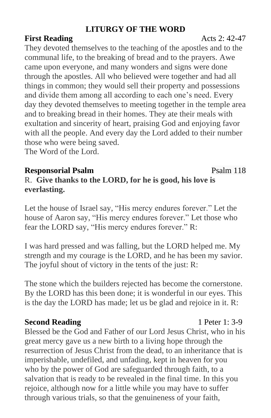## **LITURGY OF THE WORD**

## **First Reading 2: 42-47**

They devoted themselves to the teaching of the apostles and to the communal life, to the breaking of bread and to the prayers. Awe came upon everyone, and many wonders and signs were done through the apostles. All who believed were together and had all things in common; they would sell their property and possessions and divide them among all according to each one's need. Every day they devoted themselves to meeting together in the temple area and to breaking bread in their homes. They ate their meals with exultation and sincerity of heart, praising God and enjoying favor with all the people. And every day the Lord added to their number those who were being saved.

The Word of the Lord.

## **Responsorial Psalm** Psalm 118

# R. **Give thanks to the LORD, for he is good, his love is everlasting.**

Let the house of Israel say, "His mercy endures forever." Let the house of Aaron say, "His mercy endures forever." Let those who fear the LORD say, "His mercy endures forever." R:

I was hard pressed and was falling, but the LORD helped me. My strength and my courage is the LORD, and he has been my savior. The joyful shout of victory in the tents of the just: R:

The stone which the builders rejected has become the cornerstone. By the LORD has this been done; it is wonderful in our eyes. This is the day the LORD has made; let us be glad and rejoice in it. R:

## **Second Reading** 1 Peter 1: 3-9

Blessed be the God and Father of our Lord Jesus Christ, who in his great mercy gave us a new birth to a living hope through the resurrection of Jesus Christ from the dead, to an inheritance that is imperishable, undefiled, and unfading, kept in heaven for you who by the power of God are safeguarded through faith, to a salvation that is ready to be revealed in the final time. In this you rejoice, although now for a little while you may have to suffer through various trials, so that the genuineness of your faith,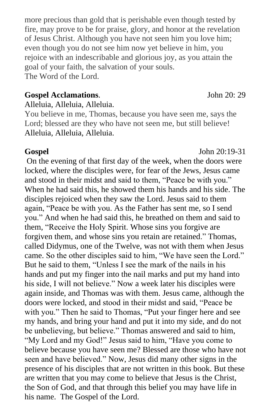more precious than gold that is perishable even though tested by fire, may prove to be for praise, glory, and honor at the revelation of Jesus Christ. Although you have not seen him you love him; even though you do not see him now yet believe in him, you rejoice with an indescribable and glorious joy, as you attain the goal of your faith, the salvation of your souls. The Word of the Lord.

### **Gospel Acclamations**. John 20: 29

Alleluia, Alleluia, Alleluia.

You believe in me, Thomas, because you have seen me, says the Lord; blessed are they who have not seen me, but still believe! Alleluia, Alleluia, Alleluia.

On the evening of that first day of the week, when the doors were locked, where the disciples were, for fear of the Jews, Jesus came and stood in their midst and said to them, "Peace be with you." When he had said this, he showed them his hands and his side. The disciples rejoiced when they saw the Lord. Jesus said to them again, "Peace be with you. As the Father has sent me, so I send you." And when he had said this, he breathed on them and said to them, "Receive the Holy Spirit. Whose sins you forgive are forgiven them, and whose sins you retain are retained." Thomas, called Didymus, one of the Twelve, was not with them when Jesus came. So the other disciples said to him, "We have seen the Lord." But he said to them, "Unless I see the mark of the nails in his hands and put my finger into the nail marks and put my hand into his side, I will not believe." Now a week later his disciples were again inside, and Thomas was with them. Jesus came, although the doors were locked, and stood in their midst and said, "Peace be with you." Then he said to Thomas, "Put your finger here and see my hands, and bring your hand and put it into my side, and do not be unbelieving, but believe." Thomas answered and said to him, "My Lord and my God!" Jesus said to him, "Have you come to believe because you have seen me? Blessed are those who have not seen and have believed." Now, Jesus did many other signs in the presence of his disciples that are not written in this book. But these are written that you may come to believe that Jesus is the Christ, the Son of God, and that through this belief you may have life in his name. The Gospel of the Lord.

### **Gospel** John 20:19-31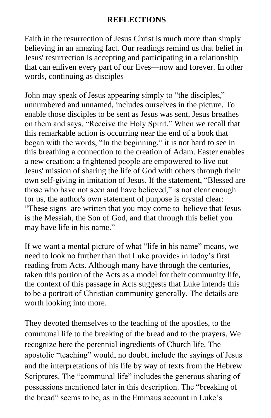### **REFLECTIONS**

Faith in the resurrection of Jesus Christ is much more than simply believing in an amazing fact. Our readings remind us that belief in Jesus' resurrection is accepting and participating in a relationship that can enliven every part of our lives—now and forever. In other words, continuing as disciples

John may speak of Jesus appearing simply to "the disciples," unnumbered and unnamed, includes ourselves in the picture. To enable those disciples to be sent as Jesus was sent, Jesus breathes on them and says, "Receive the Holy Spirit." When we recall that this remarkable action is occurring near the end of a book that began with the words, "In the beginning," it is not hard to see in this breathing a connection to the creation of Adam. Easter enables a new creation: a frightened people are empowered to live out Jesus' mission of sharing the life of God with others through their own self-giving in imitation of Jesus. If the statement, "Blessed are those who have not seen and have believed," is not clear enough for us, the author's own statement of purpose is crystal clear: "These signs are written that you may come to believe that Jesus is the Messiah, the Son of God, and that through this belief you may have life in his name."

If we want a mental picture of what "life in his name" means, we need to look no further than that Luke provides in today's first reading from Acts. Although many have through the centuries, taken this portion of the Acts as a model for their community life, the context of this passage in Acts suggests that Luke intends this to be a portrait of Christian community generally. The details are worth looking into more.

They devoted themselves to the teaching of the apostles, to the communal life to the breaking of the bread and to the prayers. We recognize here the perennial ingredients of Church life. The apostolic "teaching" would, no doubt, include the sayings of Jesus and the interpretations of his life by way of texts from the Hebrew Scriptures. The "communal life" includes the generous sharing of possessions mentioned later in this description. The "breaking of the bread" seems to be, as in the Emmaus account in Luke's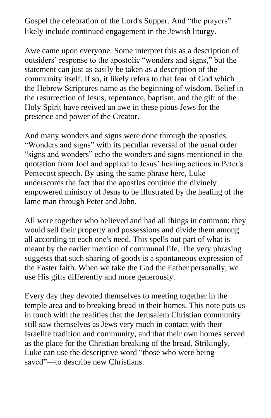Gospel the celebration of the Lord's Supper. And "the prayers" likely include continued engagement in the Jewish liturgy.

Awe came upon everyone. Some interpret this as a description of outsiders' response to the apostolic "wonders and signs," but the statement can just as easily be taken as a description of the community itself. If so, it likely refers to that fear of God which the Hebrew Scriptures name as the beginning of wisdom. Belief in the resurrection of Jesus, repentance, baptism, and the gift of the Holy Spirit have revived an awe in these pious Jews for the presence and power of the Creator.

And many wonders and signs were done through the apostles. "Wonders and signs" with its peculiar reversal of the usual order "signs and wonders" echo the wonders and signs mentioned in the quotation from Joel and applied to Jesus' healing actions in Peter's Pentecost speech. By using the same phrase here, Luke underscores the fact that the apostles continue the divinely empowered ministry of Jesus to be illustrated by the healing of the lame man through Peter and John.

All were together who believed and had all things in common; they would sell their property and possessions and divide them among all according to each one's need. This spells out part of what is meant by the earlier mention of communal life. The very phrasing suggests that such sharing of goods is a spontaneous expression of the Easter faith. When we take the God the Father personally, we use His gifts differently and more generously.

Every day they devoted themselves to meeting together in the temple area and to breaking bread in their homes. This note puts us in touch with the realities that the Jerusalem Christian community still saw themselves as Jews very much in contact with their Israelite tradition and community, and that their own homes served as the place for the Christian breaking of the bread. Strikingly, Luke can use the descriptive word "those who were being saved"—to describe new Christians.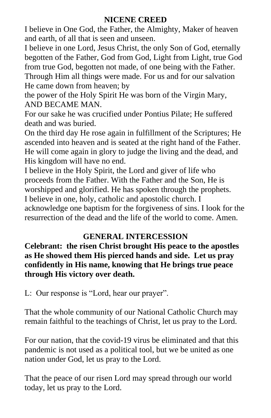## **NICENE CREED**

I believe in One God, the Father, the Almighty, Maker of heaven and earth, of all that is seen and unseen.

I believe in one Lord, Jesus Christ, the only Son of God, eternally begotten of the Father, God from God, Light from Light, true God from true God, begotten not made, of one being with the Father. Through Him all things were made. For us and for our salvation He came down from heaven; by

the power of the Holy Spirit He was born of the Virgin Mary, AND BECAME MAN.

For our sake he was crucified under Pontius Pilate; He suffered death and was buried.

On the third day He rose again in fulfillment of the Scriptures; He ascended into heaven and is seated at the right hand of the Father. He will come again in glory to judge the living and the dead, and His kingdom will have no end.

I believe in the Holy Spirit, the Lord and giver of life who proceeds from the Father. With the Father and the Son, He is worshipped and glorified. He has spoken through the prophets. I believe in one, holy, catholic and apostolic church. I

acknowledge one baptism for the forgiveness of sins. I look for the resurrection of the dead and the life of the world to come. Amen.

# **GENERAL INTERCESSION**

**Celebrant: the risen Christ brought His peace to the apostles as He showed them His pierced hands and side. Let us pray confidently in His name, knowing that He brings true peace through His victory over death.**

L: Our response is "Lord, hear our prayer".

That the whole community of our National Catholic Church may remain faithful to the teachings of Christ, let us pray to the Lord.

For our nation, that the covid-19 virus be eliminated and that this pandemic is not used as a political tool, but we be united as one nation under God, let us pray to the Lord.

That the peace of our risen Lord may spread through our world today, let us pray to the Lord.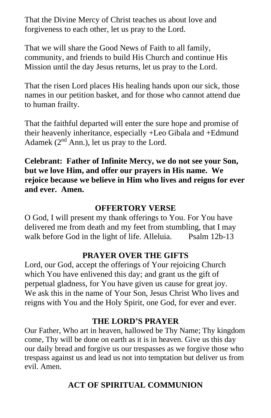That the Divine Mercy of Christ teaches us about love and forgiveness to each other, let us pray to the Lord.

That we will share the Good News of Faith to all family, community, and friends to build His Church and continue His Mission until the day Jesus returns, let us pray to the Lord.

That the risen Lord places His healing hands upon our sick, those names in our petition basket, and for those who cannot attend due to human frailty.

That the faithful departed will enter the sure hope and promise of their heavenly inheritance, especially +Leo Gibala and +Edmund Adamek  $(2<sup>nd</sup> Ann.)$ , let us pray to the Lord.

**Celebrant: Father of Infinite Mercy, we do not see your Son, but we love Him, and offer our prayers in His name. We rejoice because we believe in Him who lives and reigns for ever and ever. Amen.**

### **OFFERTORY VERSE**

O God, I will present my thank offerings to You. For You have delivered me from death and my feet from stumbling, that I may walk before God in the light of life. Alleluia. Psalm 12b-13

### **PRAYER OVER THE GIFTS**

Lord, our God, accept the offerings of Your rejoicing Church which You have enlivened this day; and grant us the gift of perpetual gladness, for You have given us cause for great joy. We ask this in the name of Your Son, Jesus Christ Who lives and reigns with You and the Holy Spirit, one God, for ever and ever.

### **THE LORD'S PRAYER**

Our Father, Who art in heaven, hallowed be Thy Name; Thy kingdom come, Thy will be done on earth as it is in heaven. Give us this day our daily bread and forgive us our trespasses as we forgive those who trespass against us and lead us not into temptation but deliver us from evil. Amen.

## **ACT OF SPIRITUAL COMMUNION**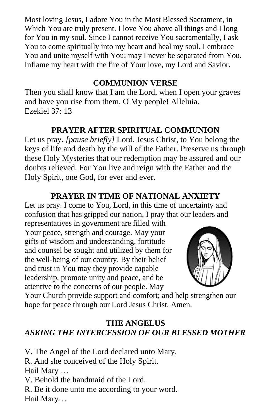Most loving Jesus, I adore You in the Most Blessed Sacrament, in Which You are truly present. I love You above all things and I long for You in my soul. Since I cannot receive You sacramentally, I ask You to come spiritually into my heart and heal my soul. I embrace You and unite myself with You; may I never be separated from You. Inflame my heart with the fire of Your love, my Lord and Savior.

### **COMMUNION VERSE**

Then you shall know that I am the Lord, when I open your graves and have you rise from them, O My people! Alleluia. Ezekiel 37: 13

## **PRAYER AFTER SPIRITUAL COMMUNION**

Let us pray. *[pause briefly]* Lord, Jesus Christ, to You belong the keys of life and death by the will of the Father. Preserve us through these Holy Mysteries that our redemption may be assured and our doubts relieved. For You live and reign with the Father and the Holy Spirit, one God, for ever and ever.

## **PRAYER IN TIME OF NATIONAL ANXIETY**

Let us pray. I come to You, Lord, in this time of uncertainty and confusion that has gripped our nation. I pray that our leaders and

representatives in government are filled with Your peace, strength and courage. May your gifts of wisdom and understanding, fortitude and counsel be sought and utilized by them for the well-being of our country. By their belief and trust in You may they provide capable leadership, promote unity and peace, and be attentive to the concerns of our people. May



Your Church provide support and comfort; and help strengthen our hope for peace through our Lord Jesus Christ. Amen.

## **THE ANGELUS** *ASKING THE INTERCESSION OF OUR BLESSED MOTHER*

V. The Angel of the Lord declared unto Mary, R. And she conceived of the Holy Spirit. Hail Mary … V. Behold the handmaid of the Lord. R. Be it done unto me according to your word. Hail Mary…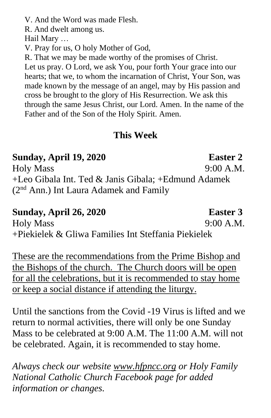V. And the Word was made Flesh.

R. And dwelt among us.

Hail Mary …

V. Pray for us, O holy Mother of God,

R. That we may be made worthy of the promises of Christ. Let us pray. O Lord, we ask You, pour forth Your grace into our hearts; that we, to whom the incarnation of Christ, Your Son, was made known by the message of an angel, may by His passion and cross be brought to the glory of His Resurrection. We ask this through the same Jesus Christ, our Lord. Amen. In the name of the Father and of the Son of the Holy Spirit. Amen.

# **This Week**

# **Sunday, April 19, 2020 Easter 2**

Holy Mass 9:00 A.M. +Leo Gibala Int. Ted & Janis Gibala; +Edmund Adamek (2nd Ann.) Int Laura Adamek and Family

# **Sunday, April 26, 2020 Easter 3**

Holy Mass 9:00 A.M. +Piekielek & Gliwa Families Int Steffania Piekielek

These are the recommendations from the Prime Bishop and the Bishops of the church. The Church doors will be open for all the celebrations, but it is recommended to stay home or keep a social distance if attending the liturgy.

Until the sanctions from the Covid -19 Virus is lifted and we return to normal activities, there will only be one Sunday Mass to be celebrated at 9:00 A.M. The 11:00 A.M. will not be celebrated. Again, it is recommended to stay home.

*Always check our website [www.hfpncc.org](http://www.hfpncc.org/) or Holy Family National Catholic Church Facebook page for added information or changes.*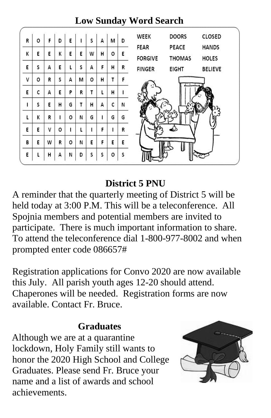### **WEEK DOORS** CLOSED F. R  $\Omega$ D E. Ť Ś М D FFAR PEACE **HANDS** K Ē. E. K E. E W H. o E) **FORGIVE THOMAS HOLES** s A E Ĺ. Ś A Ė. H E R **FINGER EIGHT BELIEVE** V s Ö T. o R A M H. F. E c A Ë. P Ŕ.  $\mathbf{T}$ Ĺ. H È  $\mathsf{C}$ L s E H G T. H. A N G t K R  $\mathbf{E}% _{t}$ o N. G T G Ī. V o Ť. t. Ī. F. R E E. F. E. W R o Ń. E E) Ė. B Ś o D s s E L. н Α И

# **Low Sunday Word Search**

# **District 5 PNU**

A reminder that the quarterly meeting of District 5 will be held today at 3:00 P.M. This will be a teleconference. All Spojnia members and potential members are invited to participate. There is much important information to share. To attend the teleconference dial 1-800-977-8002 and when prompted enter code 086657#

Registration applications for Convo 2020 are now available this July. All parish youth ages 12-20 should attend. Chaperones will be needed. Registration forms are now available. Contact Fr. Bruce.

# **Graduates**

 Although we are at a quarantine lockdown, Holy Family still wants to honor the 2020 High School and College Graduates. Please send Fr. Bruce your name and a list of awards and school achievements.

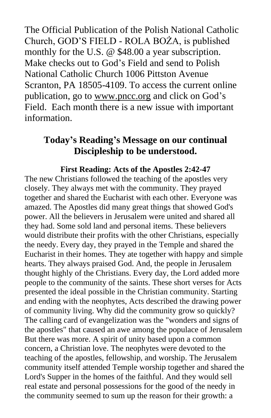The Official Publication of the Polish National Catholic Church, GOD'S FIELD - ROLA BOŻA, is published monthly for the U.S. @ \$48.00 a year subscription. Make checks out to God's Field and send to Polish National Catholic Church 1006 Pittston Avenue Scranton, PA 18505-4109. To access the current online publication, go to [www.pncc.org](http://www.pncc.org/) and click on God's Field. Each month there is a new issue with important information.

# **Today's Reading's Message on our continual Discipleship to be understood.**

### **First Reading: Acts of the Apostles 2:42-47**

The new Christians followed the teaching of the apostles very closely. They always met with the community. They prayed together and shared the Eucharist with each other. Everyone was amazed. The Apostles did many great things that showed God's power. All the believers in Jerusalem were united and shared all they had. Some sold land and personal items. These believers would distribute their profits with the other Christians, especially the needy. Every day, they prayed in the Temple and shared the Eucharist in their homes. They ate together with happy and simple hearts. They always praised God. And, the people in Jerusalem thought highly of the Christians. Every day, the Lord added more people to the community of the saints. These short verses for Acts presented the ideal possible in the Christian community. Starting and ending with the neophytes, Acts described the drawing power of community living. Why did the community grow so quickly? The calling card of evangelization was the "wonders and signs of the apostles" that caused an awe among the populace of Jerusalem But there was more. A spirit of unity based upon a common concern, a Christian love. The neophytes were devoted to the teaching of the apostles, fellowship, and worship. The Jerusalem community itself attended Temple worship together and shared the Lord's Supper in the homes of the faithful. And they would sell real estate and personal possessions for the good of the needy in the community seemed to sum up the reason for their growth: a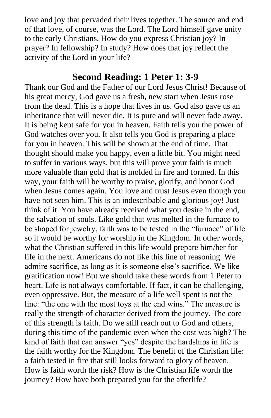love and joy that pervaded their lives together. The source and end of that love, of course, was the Lord. The Lord himself gave unity to the early Christians. How do you express Christian joy? In prayer? In fellowship? In study? How does that joy reflect the activity of the Lord in your life?

# **Second Reading: 1 Peter 1: 3-9**

Thank our God and the Father of our Lord Jesus Christ! Because of his great mercy, God gave us a fresh, new start when Jesus rose from the dead. This is a hope that lives in us. God also gave us an inheritance that will never die. It is pure and will never fade away. It is being kept safe for you in heaven. Faith tells you the power of God watches over you. It also tells you God is preparing a place for you in heaven. This will be shown at the end of time. That thought should make you happy, even a little bit. You might need to suffer in various ways, but this will prove your faith is much more valuable than gold that is molded in fire and formed. In this way, your faith will be worthy to praise, glorify, and honor God when Jesus comes again. You love and trust Jesus even though you have not seen him. This is an indescribable and glorious joy! Just think of it. You have already received what you desire in the end, the salvation of souls. Like gold that was melted in the furnace to be shaped for jewelry, faith was to be tested in the "furnace" of life so it would be worthy for worship in the Kingdom. In other words, what the Christian suffered in this life would prepare him/her for life in the next. Americans do not like this line of reasoning. We admire sacrifice, as long as it is someone else's sacrifice. We like gratification now! But we should take these words from 1 Peter to heart. Life is not always comfortable. If fact, it can be challenging, even oppressive. But, the measure of a life well spent is not the line: "the one with the most toys at the end wins." The measure is really the strength of character derived from the journey. The core of this strength is faith. Do we still reach out to God and others, during this time of the pandemic even when the cost was high? The kind of faith that can answer "yes" despite the hardships in life is the faith worthy for the Kingdom. The benefit of the Christian life: a faith tested in fire that still looks forward to glory of heaven. How is faith worth the risk? How is the Christian life worth the journey? How have both prepared you for the afterlife?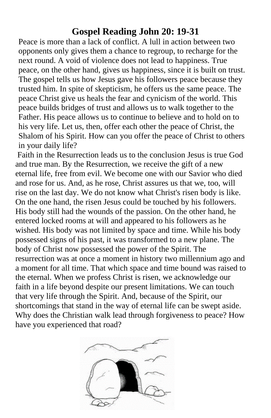# **Gospel Reading John 20: 19-31**

 Peace is more than a lack of conflict. A lull in action between two opponents only gives them a chance to regroup, to recharge for the next round. A void of violence does not lead to happiness. True peace, on the other hand, gives us happiness, since it is built on trust. The gospel tells us how Jesus gave his followers peace because they trusted him. In spite of skepticism, he offers us the same peace. The peace Christ give us heals the fear and cynicism of the world. This peace builds bridges of trust and allows us to walk together to the Father. His peace allows us to continue to believe and to hold on to his very life. Let us, then, offer each other the peace of Christ, the Shalom of his Spirit. How can you offer the peace of Christ to others in your daily life?

Faith in the Resurrection leads us to the conclusion Jesus is true God and true man. By the Resurrection, we receive the gift of a new eternal life, free from evil. We become one with our Savior who died and rose for us. And, as he rose, Christ assures us that we, too, will rise on the last day. We do not know what Christ's risen body is like. On the one hand, the risen Jesus could be touched by his followers. His body still had the wounds of the passion. On the other hand, he entered locked rooms at will and appeared to his followers as he wished. His body was not limited by space and time. While his body possessed signs of his past, it was transformed to a new plane. The body of Christ now possessed the power of the Spirit. The resurrection was at once a moment in history two millennium ago and a moment for all time. That which space and time bound was raised to the eternal. When we profess Christ is risen, we acknowledge our faith in a life beyond despite our present limitations. We can touch that very life through the Spirit. And, because of the Spirit, our shortcomings that stand in the way of eternal life can be swept aside. Why does the Christian walk lead through forgiveness to peace? How have you experienced that road?

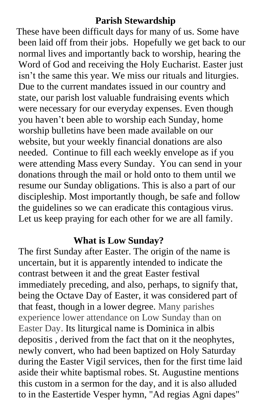# **Parish Stewardship**

 These have been difficult days for many of us. Some have been laid off from their jobs. Hopefully we get back to our normal lives and importantly back to worship, hearing the Word of God and receiving the Holy Eucharist. Easter just isn't the same this year. We miss our rituals and liturgies. Due to the current mandates issued in our country and state, our parish lost valuable fundraising events which were necessary for our everyday expenses. Even though you haven't been able to worship each Sunday, home worship bulletins have been made available on our website, but your weekly financial donations are also needed. Continue to fill each weekly envelope as if you were attending Mass every Sunday. You can send in your donations through the mail or hold onto to them until we resume our Sunday obligations. This is also a part of our discipleship. Most importantly though, be safe and follow the guidelines so we can eradicate this contagious virus. Let us keep praying for each other for we are all family.

# **What is Low Sunday?**

The first [Sunday](https://www.catholic.org/encyclopedia/view.php?id=11155) after Easter. The origin of the name is uncertain, but it is apparently intended to indicate the contrast between it and the great [Easter](https://www.catholic.org/clife/easter/) festival immediately preceding, and also, perhaps, to signify that, being the [Octave](https://www.catholic.org/encyclopedia/view.php?id=8631) Day of Easter, it was considered part of that feast, though in a lower degree. Many parishes experience lower attendance on Low Sunday than on Easter Day. Its liturgical name is Dominica in albis depositis , derived from the fact that on it the neophytes, newly convert, who had been baptized on Holy Saturday during the Easter Vigil services, then for the first [time](https://www.catholic.org/encyclopedia/view.php?id=11571) laid aside their white baptismal robes. St. Augustine mentions this custom in a sermon for the day, and it is also alluded to in the Eastertide Vesper hymn, "Ad regias Agni dapes"